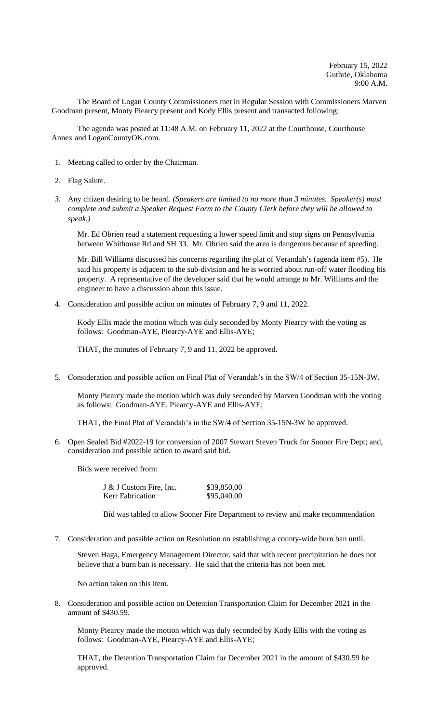The Board of Logan County Commissioners met in Regular Session with Commissioners Marven Goodman present, Monty Piearcy present and Kody Ellis present and transacted following:

The agenda was posted at 11:48 A.M. on February 11, 2022 at the Courthouse, Courthouse Annex and LoganCountyOK.com.

- 1. Meeting called to order by the Chairman.
- 2. Flag Salute.
- *3.* Any citizen desiring to be heard. *(Speakers are limited to no more than 3 minutes. Speaker(s) must complete and submit a Speaker Request Form to the County Clerk before they will be allowed to speak.)*

Mr. Ed Obrien read a statement requesting a lower speed limit and stop signs on Pennsylvania between Whithouse Rd and SH 33. Mr. Obrien said the area is dangerous because of speeding.

Mr. Bill Williams discussed his concerns regarding the plat of Verandah's (agenda item #5). He said his property is adjacent to the sub-division and he is worried about run-off water flooding his property. A representative of the developer said that he would arrange to Mr. Williams and the engineer to have a discussion about this issue.

4. Consideration and possible action on minutes of February 7, 9 and 11, 2022.

Kody Ellis made the motion which was duly seconded by Monty Piearcy with the voting as follows: Goodman-AYE, Piearcy-AYE and Ellis-AYE;

THAT, the minutes of February 7, 9 and 11, 2022 be approved.

5. Consideration and possible action on Final Plat of Verandah's in the SW/4 of Section 35-15N-3W.

Monty Piearcy made the motion which was duly seconded by Marven Goodman with the voting as follows: Goodman-AYE, Piearcy-AYE and Ellis-AYE;

THAT, the Final Plat of Verandah's in the SW/4 of Section 35-15N-3W be approved.

6. Open Sealed Bid #2022-19 for conversion of 2007 Stewart Steven Truck for Sooner Fire Dept; and, consideration and possible action to award said bid.

Bids were received from:

| J & J Custom Fire, Inc. | \$39,850.00 |
|-------------------------|-------------|
| Kerr Fabrication        | \$95,040.00 |

Bid was tabled to allow Sooner Fire Department to review and make recommendation

7. Consideration and possible action on Resolution on establishing a county-wide burn ban until.

Steven Haga, Emergency Management Director, said that with recent precipitation he does not believe that a burn ban is necessary. He said that the criteria has not been met.

No action taken on this item.

8. Consideration and possible action on Detention Transportation Claim for December 2021 in the amount of \$430.59.

Monty Piearcy made the motion which was duly seconded by Kody Ellis with the voting as follows: Goodman-AYE, Piearcy-AYE and Ellis-AYE;

THAT, the Detention Transportation Claim for December 2021 in the amount of \$430.59 be approved.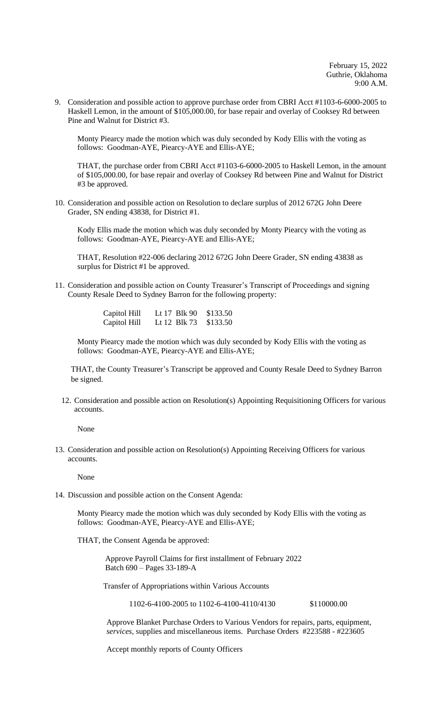9. Consideration and possible action to approve purchase order from CBRI Acct #1103-6-6000-2005 to Haskell Lemon, in the amount of \$105,000.00, for base repair and overlay of Cooksey Rd between Pine and Walnut for District #3.

Monty Piearcy made the motion which was duly seconded by Kody Ellis with the voting as follows: Goodman-AYE, Piearcy-AYE and Ellis-AYE;

THAT, the purchase order from CBRI Acct #1103-6-6000-2005 to Haskell Lemon, in the amount of \$105,000.00, for base repair and overlay of Cooksey Rd between Pine and Walnut for District #3 be approved.

10. Consideration and possible action on Resolution to declare surplus of 2012 672G John Deere Grader, SN ending 43838, for District #1.

Kody Ellis made the motion which was duly seconded by Monty Piearcy with the voting as follows: Goodman-AYE, Piearcy-AYE and Ellis-AYE;

THAT, Resolution #22-006 declaring 2012 672G John Deere Grader, SN ending 43838 as surplus for District #1 be approved.

11. Consideration and possible action on County Treasurer's Transcript of Proceedings and signing County Resale Deed to Sydney Barron for the following property:

> Capitol Hill Lt 17 Blk 90 \$133.50 Capitol Hill Lt 12 Blk 73 \$133.50

Monty Piearcy made the motion which was duly seconded by Kody Ellis with the voting as follows: Goodman-AYE, Piearcy-AYE and Ellis-AYE;

THAT, the County Treasurer's Transcript be approved and County Resale Deed to Sydney Barron be signed.

12. Consideration and possible action on Resolution(s) Appointing Requisitioning Officers for various accounts.

None

13. Consideration and possible action on Resolution(s) Appointing Receiving Officers for various accounts.

None

14. Discussion and possible action on the Consent Agenda:

Monty Piearcy made the motion which was duly seconded by Kody Ellis with the voting as follows: Goodman-AYE, Piearcy-AYE and Ellis-AYE;

THAT, the Consent Agenda be approved:

 Approve Payroll Claims for first installment of February 2022 Batch 690 – Pages 33-189-A

Transfer of Appropriations within Various Accounts

1102-6-4100-2005 to 1102-6-4100-4110/4130 \$110000.00

Approve Blanket Purchase Orders to Various Vendors for repairs, parts, equipment, *services*, supplies and miscellaneous items. Purchase Orders #223588 - #223605

Accept monthly reports of County Officers